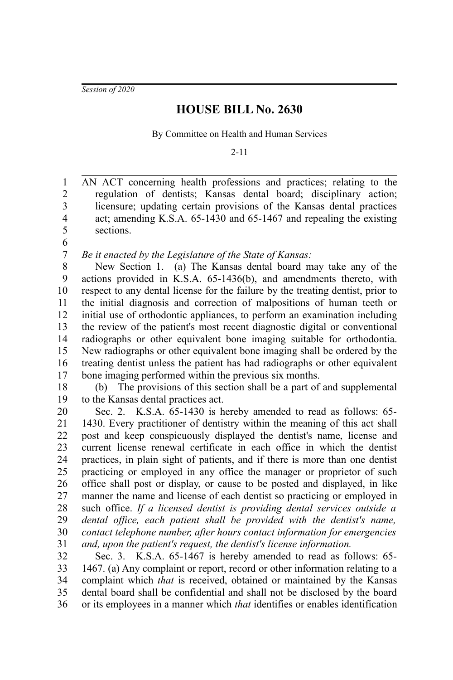*Session of 2020*

## **HOUSE BILL No. 2630**

By Committee on Health and Human Services

2-11

AN ACT concerning health professions and practices; relating to the regulation of dentists; Kansas dental board; disciplinary action; licensure; updating certain provisions of the Kansas dental practices act; amending K.S.A. 65-1430 and 65-1467 and repealing the existing sections. 1 2 3 4 5

6 7

*Be it enacted by the Legislature of the State of Kansas:*

New Section 1. (a) The Kansas dental board may take any of the actions provided in K.S.A. 65-1436(b), and amendments thereto, with respect to any dental license for the failure by the treating dentist, prior to the initial diagnosis and correction of malpositions of human teeth or initial use of orthodontic appliances, to perform an examination including the review of the patient's most recent diagnostic digital or conventional radiographs or other equivalent bone imaging suitable for orthodontia. New radiographs or other equivalent bone imaging shall be ordered by the treating dentist unless the patient has had radiographs or other equivalent bone imaging performed within the previous six months. 8 9 10 11 12 13 14 15 16 17

(b) The provisions of this section shall be a part of and supplemental to the Kansas dental practices act. 18 19

Sec. 2. K.S.A. 65-1430 is hereby amended to read as follows: 65- 1430. Every practitioner of dentistry within the meaning of this act shall post and keep conspicuously displayed the dentist's name, license and current license renewal certificate in each office in which the dentist practices, in plain sight of patients, and if there is more than one dentist practicing or employed in any office the manager or proprietor of such office shall post or display, or cause to be posted and displayed, in like manner the name and license of each dentist so practicing or employed in such office. *If a licensed dentist is providing dental services outside a dental office, each patient shall be provided with the dentist's name, contact telephone number, after hours contact information for emergencies and, upon the patient's request, the dentist's license information.* 20 21 22 23 24 25 26 27 28 29 30 31

Sec. 3. K.S.A. 65-1467 is hereby amended to read as follows: 65- 1467. (a) Any complaint or report, record or other information relating to a complaint-which *that* is received, obtained or maintained by the Kansas dental board shall be confidential and shall not be disclosed by the board or its employees in a manner which *that* identifies or enables identification 32 33 34 35 36